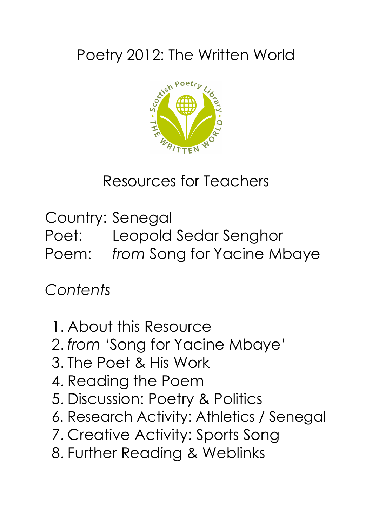## Poetry 2012: The Written World



Resources for Teachers

Country: Senegal Poet: Leopold Sedar Senghor Poem: *from* Song for Yacine Mbaye

*Contents*

- 1. About this Resource
- 2. *from* 'Song for Yacine Mbaye'
- 3. The Poet & His Work
- 4. Reading the Poem
- 5. Discussion: Poetry & Politics
- 6. Research Activity: Athletics / Senegal
- 7. Creative Activity: Sports Song
- 8. Further Reading & Weblinks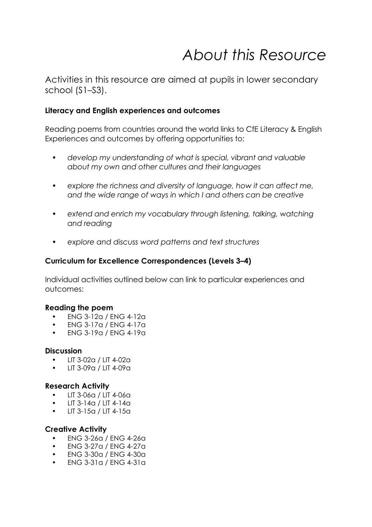## *About this Resource*

Activities in this resource are aimed at pupils in lower secondary school (S1–S3).

#### **Literacy and English experiences and outcomes**

Reading poems from countries around the world links to CfE Literacy & English Experiences and outcomes by offering opportunities to:

- *• develop my understanding of what is special, vibrant and valuable about my own and other cultures and their languages*
- *• explore the richness and diversity of language, how it can affect me, and the wide range of ways in which I and others can be creative*
- *• extend and enrich my vocabulary through listening, talking, watching and reading*
- *• explore and discuss word patterns and text structures*

### **Curriculum for Excellence Correspondences (Levels 3–4)**

Individual activities outlined below can link to particular experiences and outcomes:

#### **Reading the poem**

- ENG 3-12a / ENG 4-12a
- ENG 3-17a / ENG 4-17a
- ENG 3-19a / ENG 4-19a

#### **Discussion**

- LIT 3-02a / LIT 4-02a
- LIT 3-09a / LIT 4-09a

#### **Research Activity**

- LIT 3-06a / LIT 4-06a
- LIT 3-14a / LIT 4-14a
- LIT 3-15a / LIT 4-15a

#### **Creative Activity**

- ENG 3-26a / ENG 4-26a
- ENG 3-27a / ENG 4-27a
- ENG 3-30a / ENG 4-30a
- ENG 3-31a / ENG 4-31a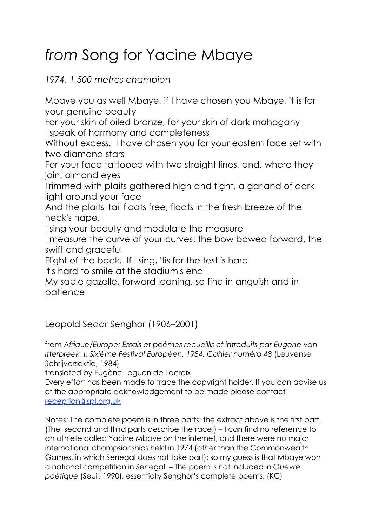# *from* Song for Yacine Mbaye

*1974, 1,500 metres champion*

Mbaye you as well Mbaye, if I have chosen you Mbaye, it is for your genuine beauty

For your skin of oiled bronze, for your skin of dark mahogany I speak of harmony and completeness

Without excess. I have chosen you for your eastern face set with two diamond stars

For your face tattooed with two straight lines, and, where they join, almond eyes

Trimmed with plaits gathered high and tight, a garland of dark light around your face

And the plaits' tail floats free, floats in the fresh breeze of the neck's nape.

I sing your beauty and modulate the measure

I measure the curve of your curves: the bow bowed forward, the swift and graceful

Flight of the back. If I sing, 'tis for the test is hard

It's hard to smile at the stadium's end

My sable gazelle, forward leaning, so fine in anguish and in patience

Leopold Sedar Senghor (1906–2001)

from *Afrique/Europe: Essais et poèmes recueillis et introduits par Eugene van Itterbreek, I. Sixième Festival Européen, 1984, Cahier numéro 48* (Leuvense Schrijversaktie, 1984)

translated by Eugène Leguen de Lacroix

Every effort has been made to trace the copyright holder. If you can advise us of the appropriate acknowledgement to be made please contact reception@spl.org.uk

Notes: The complete poem is in three parts: the extract above is the first part. (The second and third parts describe the race.) – I can find no reference to an athlete called Yacine Mbaye on the internet, and there were no major international champsionships held in 1974 (other than the Commonwealth Games, in which Senegal does not take part); so my guess is that Mbaye won a national competition in Senegal. – The poem is not included in *Ouevre poétique* (Seuil, 1990), essentially Senghor's complete poems. (KC)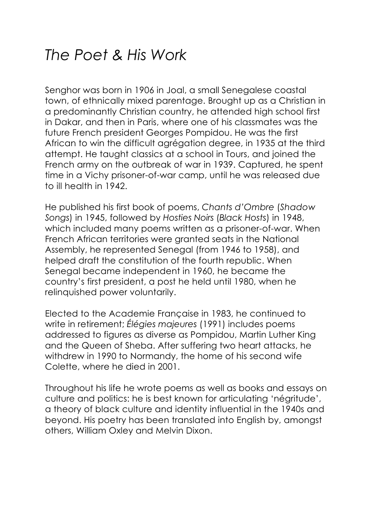### *The Poet & His Work*

Senghor was born in 1906 in Joal, a small Senegalese coastal town, of ethnically mixed parentage. Brought up as a Christian in a predominantly Christian country, he attended high school first in Dakar, and then in Paris, where one of his classmates was the future French president Georges Pompidou. He was the first African to win the difficult agrégation degree, in 1935 at the third attempt. He taught classics at a school in Tours, and joined the French army on the outbreak of war in 1939. Captured, he spent time in a Vichy prisoner-of-war camp, until he was released due to ill health in 1942.

He published his first book of poems, *Chants d'Ombre* (*Shadow Songs*) in 1945, followed by *Hosties Noirs* (*Black Hosts*) in 1948, which included many poems written as a prisoner-of-war. When French African territories were granted seats in the National Assembly, he represented Senegal (from 1946 to 1958), and helped draft the constitution of the fourth republic. When Senegal became independent in 1960, he became the country's first president, a post he held until 1980, when he relinquished power voluntarily.

Elected to the Academie Française in 1983, he continued to write in retirement; *Élégies majeures* (1991) includes poems addressed to figures as diverse as Pompidou, Martin Luther King and the Queen of Sheba. After suffering two heart attacks, he withdrew in 1990 to Normandy, the home of his second wife Colette, where he died in 2001.

Throughout his life he wrote poems as well as books and essays on culture and politics: he is best known for articulating 'négritude', a theory of black culture and identity influential in the 1940s and beyond. His poetry has been translated into English by, amongst others, William Oxley and Melvin Dixon.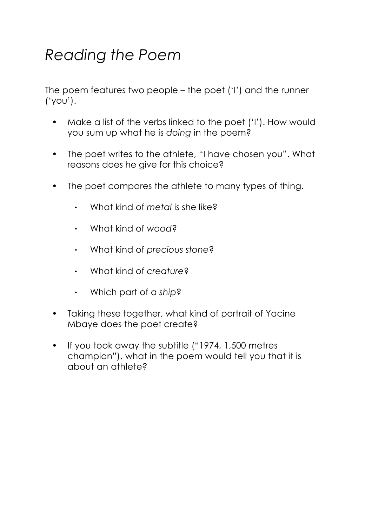## *Reading the Poem*

The poem features two people – the poet ('I') and the runner ('you').

- Make a list of the verbs linked to the poet ('I'). How would you sum up what he is *doing* in the poem?
- The poet writes to the athlete, "I have chosen you". What reasons does he give for this choice?
- The poet compares the athlete to many types of thing.
	- ⁃ What kind of *metal* is she like?
	- ⁃ What kind of *wood*?
	- ⁃ What kind of *precious stone*?
	- ⁃ What kind of *creature*?
	- ⁃ Which part of a *ship*?
- Taking these together, what kind of portrait of Yacine Mbaye does the poet create?
- If you took away the subtitle ("1974, 1,500 metres champion"), what in the poem would tell you that it is about an athlete?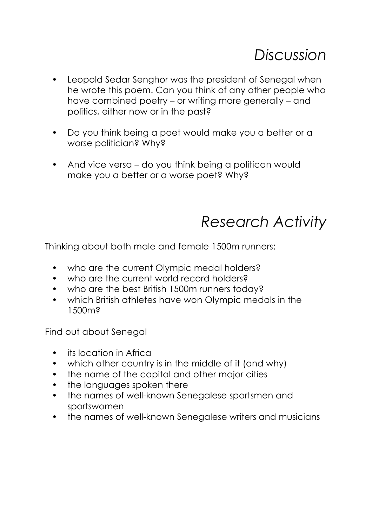- Leopold Sedar Senghor was the president of Senegal when he wrote this poem. Can you think of any other people who have combined poetry – or writing more generally – and politics, either now or in the past?
- Do you think being a poet would make you a better or a worse politician? Why?
- And vice versa do you think being a politican would make you a better or a worse poet? Why?

### *Research Activity*

Thinking about both male and female 1500m runners:

- who are the current Olympic medal holders?
- who are the current world record holders?
- who are the best British 1500m runners today?
- which British athletes have won Olympic medals in the 1500m?

Find out about Senegal

- its location in Africa
- which other country is in the middle of it (and why)
- the name of the capital and other major cities
- the languages spoken there
- the names of well-known Senegalese sportsmen and sportswomen
- the names of well-known Senegalese writers and musicians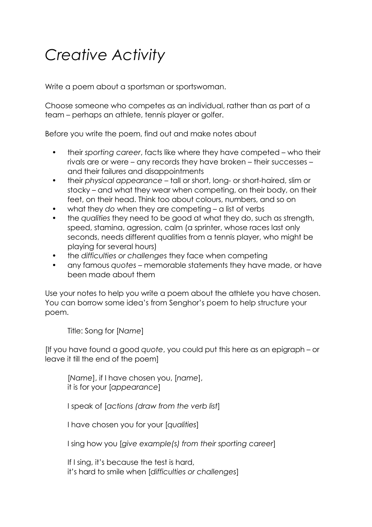## *Creative Activity*

Write a poem about a sportsman or sportswoman.

Choose someone who competes as an individual, rather than as part of a team – perhaps an athlete, tennis player or golfer.

Before you write the poem, find out and make notes about

- their *sporting career*, facts like where they have competed who their rivals are or were – any records they have broken – their successes – and their failures and disappointments
- their *physical appearance* tall or short, long- or short-haired, slim or stocky – and what they wear when competing, on their body, on their feet, on their head. Think too about colours, numbers, and so on
- what they *do* when they are competing a list of verbs
- the *qualities* they need to be good at what they do, such as strength, speed, stamina, agression, calm (a sprinter, whose races last only seconds, needs different qualities from a tennis player, who might be playing for several hours)
- the *difficulties or challenges* they face when competing
- any famous *quotes* memorable statements they have made, or have been made about them

Use your notes to help you write a poem about the athlete you have chosen. You can borrow some idea's from Senghor's poem to help structure your poem.

Title: Song for [*Name*]

[If you have found a good *quote*, you could put this here as an epigraph – or leave it till the end of the poem]

[*Name*], if I have chosen you, [*name*], it is for your [*appearance*]

I speak of [*actions (draw from the verb list*]

I have chosen you for your [*qualities*]

I sing how you [*give example(s) from their sporting career*]

If I sing, it's because the test is hard, it's hard to smile when [*difficulties or challenges*]